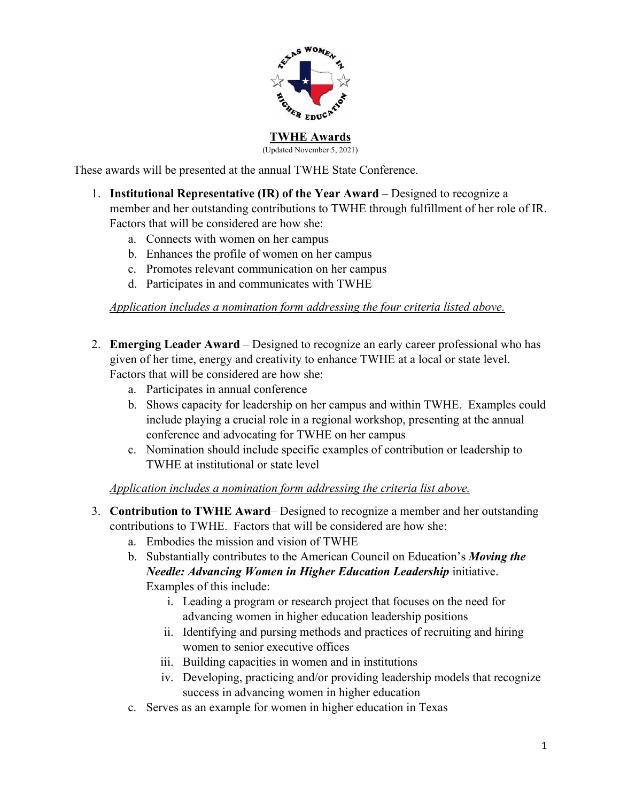

# **TWHE Awards**

(Updated November 5, 2021)

These awards will be presented at the annual TWHE State Conference.

- 1. **Institutional Representative (IR) of the Year Award** Designed to recognize a member and her outstanding contributions to TWHE through fulfillment of her role of IR. Factors that will be considered are how she:
	- a. Connects with women on her campus
	- b. Enhances the profile of women on her campus
	- c. Promotes relevant communication on her campus
	- d. Participates in and communicates with TWHE

## *Application includes a nomination form addressing the four criteria listed above.*

- 2. **Emerging Leader Award** Designed to recognize an early career professional who has given of her time, energy and creativity to enhance TWHE at a local or state level. Factors that will be considered are how she:
	- a. Participates in annual conference
	- b. Shows capacity for leadership on her campus and within TWHE. Examples could include playing a crucial role in a regional workshop, presenting at the annual conference and advocating for TWHE on her campus
	- c. Nomination should include specific examples of contribution or leadership to TWHE at institutional or state level

*Application includes a nomination form addressing the criteria list above.*

- 3. **Contribution to TWHE Award** Designed to recognize a member and her outstanding contributions to TWHE. Factors that will be considered are how she:
	- a. Embodies the mission and vision of TWHE
	- b. Substantially contributes to the American Council on Education's *Moving the Needle: Advancing Women in Higher Education Leadership initiative.* Examples of this include:
		- i. Leading a program or research project that focuses on the need for advancing women in higher education leadership positions
		- ii. Identifying and pursing methods and practices of recruiting and hiring women to senior executive offices
		- iii. Building capacities in women and in institutions
		- iv. Developing, practicing and/or providing leadership models that recognize success in advancing women in higher education
	- c. Serves as an example for women in higher education in Texas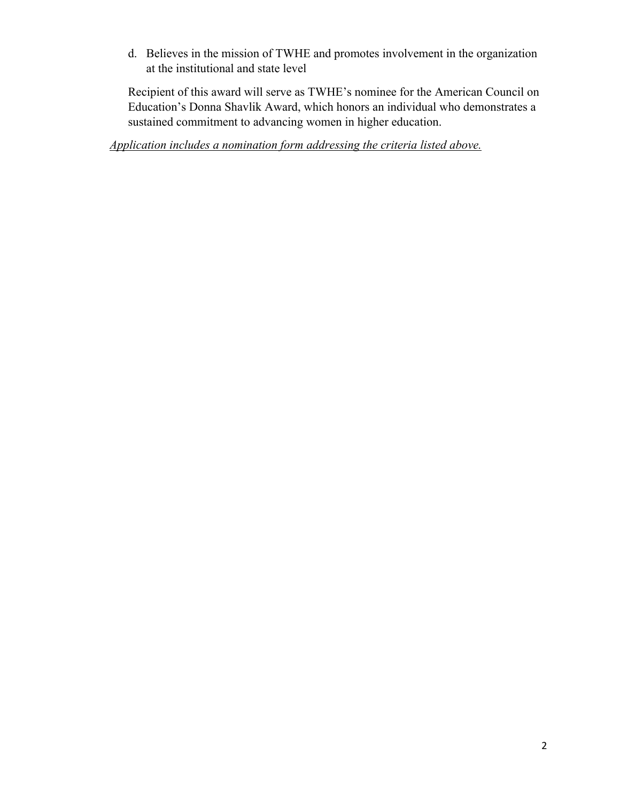d. Believes in the mission of TWHE and promotes involvement in the organization at the institutional and state level

Recipient of this award will serve as TWHE's nominee for the American Council on Education's Donna Shavlik Award, which honors an individual who demonstrates a sustained commitment to advancing women in higher education.

*Application includes a nomination form addressing the criteria listed above.*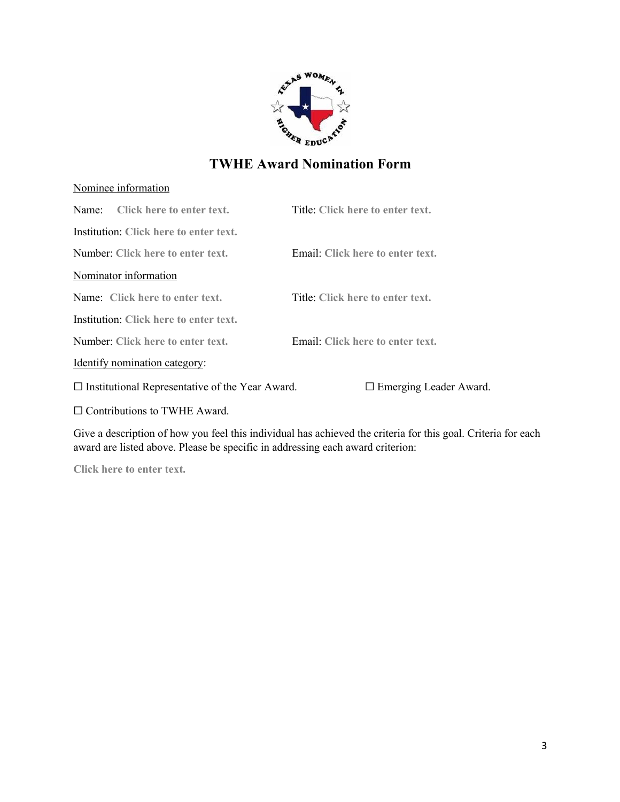

## Nominee information

| Name: Click here to enter text.                        | Title: Click here to enter text. |
|--------------------------------------------------------|----------------------------------|
| Institution: Click here to enter text.                 |                                  |
| Number: Click here to enter text.                      | Email: Click here to enter text. |
| Nominator information                                  |                                  |
| Name: Click here to enter text.                        | Title: Click here to enter text. |
| Institution: Click here to enter text.                 |                                  |
| Number: Click here to enter text.                      | Email: Click here to enter text. |
| Identify nomination category:                          |                                  |
| $\Box$ Institutional Representative of the Year Award. | $\Box$ Emerging Leader Award.    |
| $\Box$ Contributions to TWHE Award.                    |                                  |

Give a description of how you feel this individual has achieved the criteria for this goal. Criteria for each award are listed above. Please be specific in addressing each award criterion:

**Click here to enter text.**